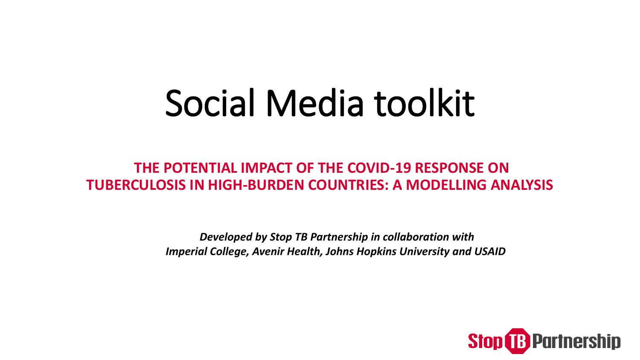# Social Media toolkit

#### **THE POTENTIAL IMPACT OF THE COVID-19 RESPONSE ON TUBERCULOSIS IN HIGH-BURDEN COUNTRIES: A MODELLING ANALYSIS**

*Developed by Stop TB Partnership in collaboration with Imperial College, Avenir Health, Johns Hopkins University and USAID* 

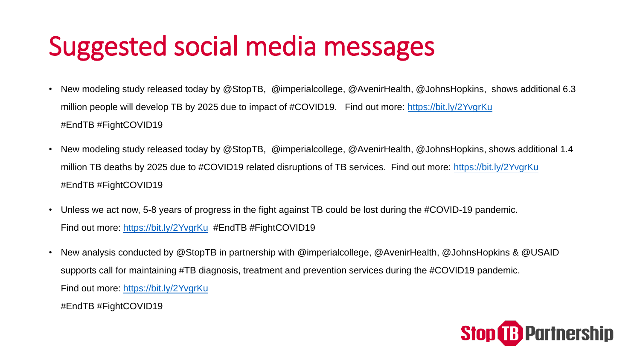### Suggested social media messages

- New modeling study released today by @StopTB, @imperialcollege, @AvenirHealth, @JohnsHopkins, shows additional 6.3 million people will develop TB by 2025 due to impact of #COVID19. Find out more:<https://bit.ly/2YvgrKu> #EndTB #FightCOVID19
- New modeling study released today by @StopTB, @imperialcollege, @AvenirHealth, @JohnsHopkins, shows additional 1.4 million TB deaths by 2025 due to #COVID19 related disruptions of TB services. Find out more: <https://bit.ly/2YvgrKu> #EndTB #FightCOVID19
- Unless we act now, 5-8 years of progress in the fight against TB could be lost during the #COVID-19 pandemic. Find out more:<https://bit.ly/2YvgrKu> #EndTB #FightCOVID19
- New analysis conducted by @StopTB in partnership with @imperialcollege, @AvenirHealth, @JohnsHopkins & @USAID supports call for maintaining #TB diagnosis, treatment and prevention services during the #COVID19 pandemic. Find out more:<https://bit.ly/2YvgrKu>

#EndTB #FightCOVID19

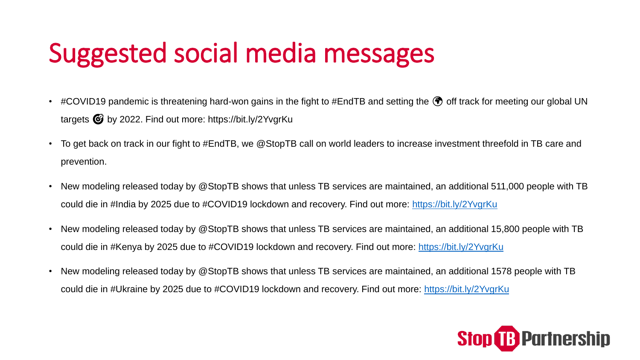## Suggested social media messages

- #COVID19 pandemic is threatening hard-won gains in the fight to #EndTB and setting the  $\bullet$  off track for meeting our global UN targets by 2022. Find out more: https://bit.ly/2YvgrKu
- To get back on track in our fight to #EndTB, we @StopTB call on world leaders to increase investment threefold in TB care and prevention.
- New modeling released today by @StopTB shows that unless TB services are maintained, an additional 511,000 people with TB could die in #India by 2025 due to #COVID19 lockdown and recovery. Find out more:<https://bit.ly/2YvgrKu>
- New modeling released today by @StopTB shows that unless TB services are maintained, an additional 15,800 people with TB could die in #Kenya by 2025 due to #COVID19 lockdown and recovery. Find out more: <https://bit.ly/2YvgrKu>
- New modeling released today by @StopTB shows that unless TB services are maintained, an additional 1578 people with TB could die in #Ukraine by 2025 due to #COVID19 lockdown and recovery. Find out more:<https://bit.ly/2YvgrKu>